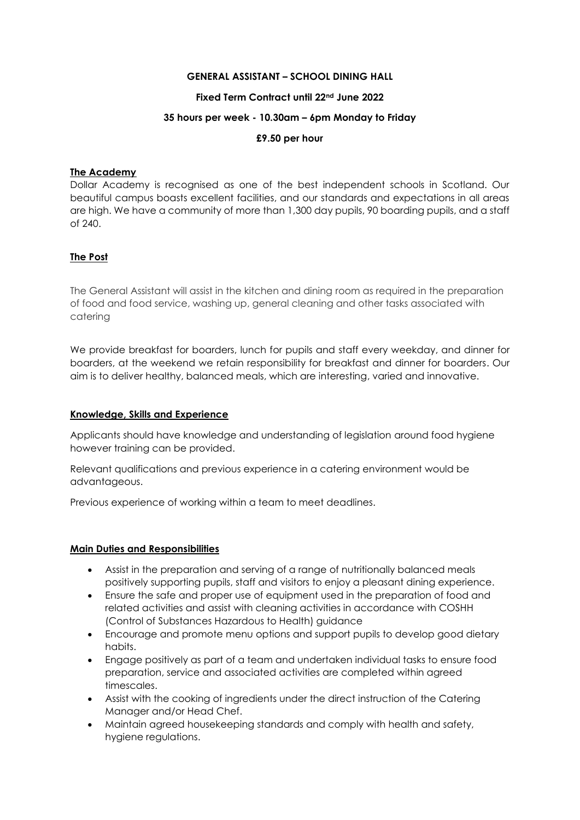## **GENERAL ASSISTANT – SCHOOL DINING HALL**

## **Fixed Term Contract until 22nd June 2022**

### **35 hours per week - 10.30am – 6pm Monday to Friday**

## **£9.50 per hour**

### **The Academy**

Dollar Academy is recognised as one of the best independent schools in Scotland. Our beautiful campus boasts excellent facilities, and our standards and expectations in all areas are high. We have a community of more than 1,300 day pupils, 90 boarding pupils, and a staff of 240.

# **The Post**

The General Assistant will assist in the kitchen and dining room as required in the preparation of food and food service, washing up, general cleaning and other tasks associated with catering

We provide breakfast for boarders, lunch for pupils and staff every weekday, and dinner for boarders, at the weekend we retain responsibility for breakfast and dinner for boarders. Our aim is to deliver healthy, balanced meals, which are interesting, varied and innovative.

### **Knowledge, Skills and Experience**

Applicants should have knowledge and understanding of legislation around food hygiene however training can be provided.

Relevant qualifications and previous experience in a catering environment would be advantageous.

Previous experience of working within a team to meet deadlines.

# **Main Duties and Responsibilities**

- Assist in the preparation and serving of a range of nutritionally balanced meals positively supporting pupils, staff and visitors to enjoy a pleasant dining experience.
- Ensure the safe and proper use of equipment used in the preparation of food and related activities and assist with cleaning activities in accordance with COSHH (Control of Substances Hazardous to Health) guidance
- Encourage and promote menu options and support pupils to develop good dietary habits.
- Engage positively as part of a team and undertaken individual tasks to ensure food preparation, service and associated activities are completed within agreed timescales.
- Assist with the cooking of ingredients under the direct instruction of the Catering Manager and/or Head Chef.
- Maintain agreed housekeeping standards and comply with health and safety, hygiene regulations.